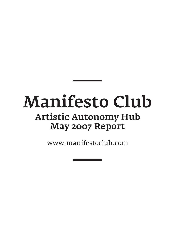# Manifesto Club Artistic Autonomy Hub May 2007 Report

www.manifestoclub.com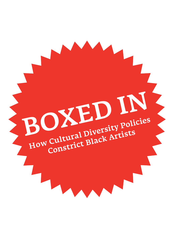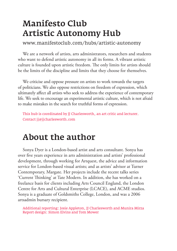## Manifesto Club Artistic Autonomy Hub

www.manifestoclub.com/hubs/artistic-autonomy

We are a network of artists, arts administrators, researchers and students who want to defend artistic autonomy in all its forms. A vibrant artistic culture is founded upon artistic freedom. The only limits for artists should be the limits of the discipline and limits that they choose for themselves.

We criticise and oppose pressure on artists to work towards the targets of politicians. We also oppose restrictions on freedom of expression, which ultimately affect all artists who seek to address the experience of contemporary life. We seek to encourage an experimental artistic culture, which is not afraid to make mistakes in the search for truthful forms of expression.

This hub is coordinated by JJ Charlesworth, an art critic and lecturer. Contact jj@jjcharlesworth.com

# About the author

Sonya Dyer is a London-based artist and arts consultant. Sonya has over five years experience in arts administration and artists' professional development, through working for Artquest, the advice and information service for London-based visual artists; and as artists' advisor at Turner Contemporary, Margate. Her projects include the recent talks series 'Current Thinking' at Tate Modern. In addition, she has worked on a freelance basis for clients including Arts Council England, the London Centre for Arts and Cultural Enterprise (LCACE), and ACME studios. Sonya is a graduate of Goldsmiths College, London, and was a 2006 artsadmin bursary recipient.

Additional reporting: Josie Appleton, JJ Charlesworth and Munira Mirza Report design: Simon Elvins and Tom Mower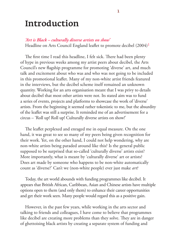### Introduction

#### *'Art is Black – culturally diverse artists on show'*

Headline on Arts Council England leaflet to promote decibel (2004)<sup>1</sup>

The first time I read this headline, I felt sick. There had been plenty of hype in previous weeks among my artist peers about decibel, the Arts Council's new flagship programme for promoting 'diverse' art, and much talk and excitement about who was and who was not going to be included in this promotional leaflet. Many of my non-white artist friends featured in the interviews, but the decibel scheme itself remained an unknown quantity. Working for an arts organisation meant that I was privy to details about decibel that most other artists were not. Its stated aim was to fund a series of events, projects and platforms to showcase the work of 'diverse' artists. From the beginning it seemed rather tokenistic to me, but the absurdity of the leaflet was still a surprise. It reminded me of an advertisement for a circus – 'Roll up! Roll up! Culturally diverse artists on show!'

The leaflet perplexed and enraged me in equal measure. On the one hand, it was great to see so many of my peers being given recognition for their work. Yet, on the other hand, I could not help wondering, why are non-white artists being paraded around like this? Is the general public supposed to be surprised that so-called 'culturally diverse' artists exist? More importantly, what is meant by 'culturally diverse' art or artists? Does art made by someone who happens to be non-white automatically count as 'diverse?' Can't we (non-white people) ever just make *art*?

Today, the art world abounds with funding programmes like decibel. It appears that British African, Caribbean, Asian and Chinese artists have multiple options open to them (and only them) to enhance their career opportunities and get their work seen. Many people would regard this as a positive gain.

However, in the past few years, while working in the arts sector and talking to friends and colleagues, I have come to believe that programmes like decibel are creating more problems than they solve. They are in danger of ghettoising black artists by creating a separate system of funding and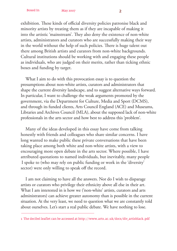exhibition. These kinds of official diversity policies patronise black and minority artists by treating them as if they are incapable of making it into the artistic 'mainstream'. They also deny the existence of non-white artists, administrators and curators who are successfully making their way in the world without the help of such policies. There is huge talent out there among British artists and curators from non-white backgrounds. Cultural institutions should be working with and engaging these people as individuals, who are judged on their merits, rather than ticking ethnic boxes and funding by target.

What I aim to do with this provocation essay is to question the presumptions about non-white artists, curators and administrators that shape the current diversity landscape, and to suggest alternative ways forward. In particular, I want to challenge the weak arguments promoted by the government, via the Department for Culture, Media and Sport (DCMS), and through its funded clients, Arts Council England (ACE) and Museums, Libraries and Archives Council (MLA), about the supposed lack of non-white professionals in the arts sector and how best to address this 'problem'.

Many of the ideas developed in this essay have come from talking honestly with friends and colleagues who share similar concerns. I have long wanted to make public these private conversations that have been taking place among both white and non-white artists, with a view to encouraging more open debate in the arts sector. Where possible, I have attributed quotations to named individuals, but inevitably, many people I spoke to (who may rely on public funding or work in the 'diversity' sector) were only willing to speak off the record.

I am not claiming to have all the answers. Nor do I wish to disparage artists or curators who privilege their ethnicity above all else in their art. What I am interested in is how we ('non-white' artists, curators and arts administrators) can achieve greater autonomy than is possible in the current situation. At the very least, we need to question what we are constantly told about ourselves. Let's start a real public debate. We have nothing to lose.

<sup>1</sup> The decibel leaflet can be accessed at http://www.arts.ac.uk/docs/div artisblack.pdf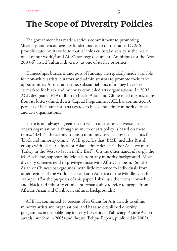# The Scope of Diversity Policies

The government has made a serious commitment to promoting 'diversity' and encourages its funded bodies to do the same. DCMS proudly states on its website that it 'holds cultural diversity at the heart of all of our work',2 and ACE's strategy document, 'Ambitions for the Arts 2003-6', listed 'cultural diversity' as one of its five priorities.

Traineeships, bursaries and pots of funding are regularly made available for non-white artists, curators and administrators to promote their career opportunities. At the same time, substantial pots of money have been earmarked for black and minority ethnic-led arts organisations. In 2002, ACE designated £29 million to black, Asian and Chinese-led organisations from its lottery-funded Arts Capital Programme. ACE has committed 10 percent of its Grant for Arts awards to black and ethnic minority artists and arts organisations.

There is not always agreement on what constitutes a 'diverse' artist or arts organisation, although so much of arts policy is based on these terms. 'BME'– the acronym most commonly used at present – stands for 'black and minority ethnic'. ACE specifies that 'BME' includes British groups with black, Chinese or Asian 'ethnic descent' ('For Asia, we mean Turkey in the West to Japan in the East'). On the other hand, *diversify*, the MLA scheme, supports individuals from any minority background. Most diversity schemes tend to privilege those with Afro-Caribbean, (South) Asian or Chinese backgrounds, with little reference to individuals from other regions of the world, such as Latin America or the Middle East, for example. (For the purposes of this paper, I shall use the terms 'non-white' and 'black and minority ethnic' interchangeably to refer to people from African, Asian and Caribbean cultural backgrounds.)

ACE has committed 10 percent of its Grant for Arts awards to ethnic minority artists and organisations, and has also established diversity programmes in the publishing industry (Diversity in Publishing Positive Action awards, launched in 2005) and theatre (Eclipse Report, published in 2002).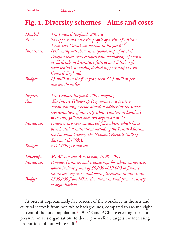### Fig. 1. Diversity schemes – Aims and costs

| Decibel:            | Arts Council England, 2003-8                                                                                                                                                  |
|---------------------|-------------------------------------------------------------------------------------------------------------------------------------------------------------------------------|
| Aim:                | 'to support and raise the profile of artists of African,<br>Asian and Caribbean descent in England.'3                                                                         |
| <i>Initiatives:</i> | Performing arts showcases, sponsorship of decibel                                                                                                                             |
|                     | Penguin short story competition, sponsorship of events                                                                                                                        |
|                     | at Cheltenham Literature festival and Edinburgh                                                                                                                               |
|                     | book festival, financing decibel support staff at Arts                                                                                                                        |
|                     | Council England.                                                                                                                                                              |
| Budget:             | £5 million in the first year, then £1.3 million per<br>annum thereafter                                                                                                       |
| Inspire:            | Arts Council England, 2005-ongoing                                                                                                                                            |
| Aim:                | 'The Inspire Fellowship Programme is a positive<br>action training scheme aimed at addressing the under-                                                                      |
|                     | representation of minority ethnic curators in London's<br>museums, galleries and arts organisations.' 4                                                                       |
| <i>Initiatives:</i> | Finances two-year curatorial fellowships, which have                                                                                                                          |
|                     | been hosted at institutions including the British Museum,                                                                                                                     |
|                     | the National Gallery, the National Portrait Gallery,                                                                                                                          |
|                     | Tate and the V&A.                                                                                                                                                             |
| Budget:             | £411,000 per annum                                                                                                                                                            |
| Diversify:          | MLA/Museums Association, 1998-2009                                                                                                                                            |
| <i>Initiatives:</i> | Provides bursaries and traineeships for ethnic minorities,<br>which include grants of $£6,000 - £19,000$ to finance<br>course fees, expenses, and work placements in museums. |
| Budget:             | £500,000 from MLA; donations in kind from a variety<br>of organisations.                                                                                                      |

At present approximately five percent of the workforce in the arts and cultural sector is from non-white backgrounds, compared to around eight percent of the total population.<sup>5</sup> DCMS and ACE are exerting substantial pressure on arts organisations to develop workforce targets for increasing proportions of non-white staff.<sup>6</sup>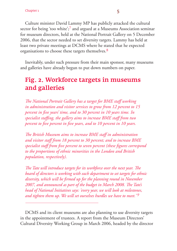Culture minister David Lammy MP has publicly attacked the cultural sector for being 'too white';<sup>7</sup> and argued at a Museums Association seminar for museum directors, held at the National Portrait Gallery on 5 December 2006, that the sector needed to set diversity targets. Lammy has held at least two private meetings at DCMS where he stated that he expected organisations to choose these targets themselves.8

Inevitably, under such pressure from their main sponsor, many museums and galleries have already begun to put down numbers on paper.

### Fig. 2. Workforce targets in museums and galleries

*The National Portrait Gallery has a target for BME staff working in administration and visitor services to grow from 12 percent to 15 percent in five years' time, and to 30 percent in 10 years time. In* specialist staffing, the gallery aims to increase BME staff from two *percent to five percent in five years, and to 10 percent in 10 years.* 

*The British Museum aims to increase BME staff in administration and visitor staff from 18 percent to 30 percent; and to increase BME*  specialist staff from five percent to seven percent (these figures correspond *to the proportions of ethnic minorities in the London and British population, respectively).*

*The Tate will introduce targets for its workforce over the next year. The board of directors is working with each department to set targets for ethnic*  diversity, which will be firmed up for the planning round in November *2007, and announced as part of the budget in March 2008. The Tate's head of National Initiatives says: 'every year, we will look at milestones, and tighten them up. We will set ourselves hurdles we have to meet.' 9*

DCMS and its client museums are also planning to use diversity targets in the appointment of trustees. A report from the Museum Directors' Cultural Diversity Working Group in March 2006, headed by the director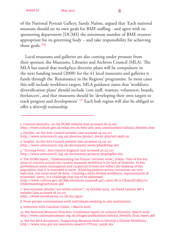of the National Portrait Gallery, Sandy Naime, argued that 'Each national museum should set its own goals for BME staffing - and agree with its sponsoring department [DCMS] the minimum number of BME trustees appropriate for its governing body – and take responsibility for achieving those goals.'10

Local museums and galleries are also coming under pressure from their sponsor, the Museums, Libraries and Archives Council (MLA). The MLA has stated that workplace diversity plans will be compulsory in the next funding round (2008) for the 41 local museums and galleries it funds through the 'Renaissance in the Regions' programme. In most cases this will include workforce targets. MLA guidance states that 'workforce diversification plans' should include 'core staff, trustees, volunteers, boards, freelancers', and that museums should be 'developing their own targets to track progress and development'.<sup>11</sup> Each hub region will also be obliged to offer a *diversify* traineeship.

4 Inspire, on the Arts Council website (last accessed 04.04.07) http://www.artscouncil.org.uk/documents/news/phpt8cH5p.doc

5 'Turning Point', Arts Council England (last accessed 30.03.07) http://www.artscouncil.org.uk/documents/projects/phpx6gf6u.doc

6 The DCMS report, 'Understanding the Future' (October 2006), states: 'One of the key areas of concern around the current museum workforce is its lack of diversity. In key professional areas (managerial and curatorial) it does not reflect the makeup of the population that it is intended to serve. [Existing positive action] initiatives are very welcome, but more must be done. Creating a more diverse workforce, representative of museums' users, is a challenge that has to be addressed.'

http://www.culture.gov.uk/NR/rdonlyres/31419198-35C1-4A00-8C12-CB0572EC9B57/0/ UnderstandingtheFuture.pdf

7 'Arts minister attacks "too white culture"', 25 October 2005, on David Lammy MP's website (last accessed 28.03.07) http://www.davidlammy.co.uk/da/24530

8 From private conversations with individuals working in arts institutions.

9 Interview with Caroline Collier, 1 March 2006

10 See National Museum Directors' Conference report on cultural diversity, March 2006 http://www.nationalmuseums.org.uk/images/publications/cultural\_diversity\_fi nal\_report.pdf

<sup>2</sup> Cultural diversity, on the DCMS website (last accessed 28.03.06) http://www.culture.gov.uk/what\_we\_do/Arts/arts\_and\_communities/cultural\_diversity.htm

<sup>3</sup> Decibel, on the Arts Council website (last accessed 04.04.07) http://www.artscouncil.org.uk/aboutus/project\_detail.php?sid=3&id=79

<sup>11</sup> See the MLA document, 'Supporting Museum Hubs to Develop a Diverse Workforce', http://www.mla.gov.uk/resources/assets/I/ITT0117\_10538.doc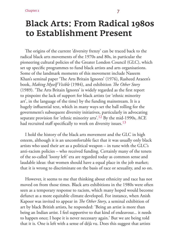### Black Arts: From Radical 1980s to Establishment Present

The origins of the current 'diversity frenzy' can be traced back to the radical black arts movements of the 1970s and 80s, in particular the pioneering cultural policies of the Greater London Council (GLC), which set up specific programmes to fund black artists and arts organisations. Some of the landmark moments of this movement include Naseem Khan's seminal paper 'The Arts Britain Ignores' (1976), Rasheed Araeen's book, *Making Myself Visible* (1984), and exhibition *The Other Story* (1989). 'The Arts Britain Ignores' is widely regarded as the first report to pinpoint the lack of support for black artists (or 'ethnic minority art', in the language of the time) by the funding mainstream. It is a hugely influential text, which in many ways set the ball rolling for the government's subsequent diversity initiatives, particularly in advocating separate provision for 'ethnic minority arts'.12 By the mid-1990s, ACE had recruited staff specifically to work on diversity issues.<sup>13</sup>

I hold the history of the black arts movement and the GLC in high esteem, although it is an uncomfortable fact that it was usually only black artists who used their art as a political weapon – in tune with the GLC's anti-racism policies – who received funding. Certainly many of the tenets of the so-called 'loony left' era are regarded today as common sense and laudable ideas: that women should have a equal place in the job market; that it is wrong to discriminate on the basis of race or sexuality, and so on.

However, it seems to me that thinking about ethnicity and race has not moved on from those times. Black arts exhibitions in the 1980s were often seen as a temporary response to racism, which many hoped would become defunct as a more equitable climate developed. For instance, when Anish Kapoor was invited to appear in *The Other Story*, a seminal exhibition of art by black British artists, he responded: 'Being an artist is more than being an Indian artist. I feel supportive to that kind of endeavour... it needs to happen once; I hope it is never necessary again.' But we are being told that it is. One is left with a sense of déjà vu. Does this suggest that artists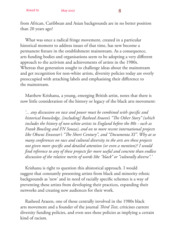from African, Caribbean and Asian backgrounds are in no better position than 20 years ago?

What was once a radical fringe movement, created in a particular historical moment to address issues of that time, has new become a permanent fixture in the establishment mainstream. As a consequence, arts funding bodies and organisations seem to be adopting a very different approach to the activism and achievements of artists in the 1980s. Whereas that generation sought to challenge ideas about the mainstream and get recognition for non-white artists, diversity policies today are overly preoccupied with attaching labels and emphasising their difference to the mainstream.

Matthew Krishanu, a young, emerging British artist, notes that there is now little consideration of the history or legacy of the black arts movement:

*'... any discussion on race and power must be combined with specifi c and historical knowledge, [including] Rasheed Araeen's "The Other Story" (which includes the history of non-white artists in England before the 80s - such as Frank Bowling and FN Souza), and on to more recent international projects like Okwui Enwezor's "The Short Century", and "Documenta XI". Why at so many conferences on race and cultural diversity in the arts are these projects*  not given more specific and detailed attention (or even a mention)? I would *fi nd reference to any of these projects far more useful and concrete than endless discussion of the relative merits of words like "black" or "culturally diverse".'*

Krishanu is right to question this ahistorical approach. I would suggest that constantly presenting artists from black and minority ethnic backgrounds as 'new' and in need of racially specific schemes is a way of preventing these artists from developing their practices, expanding their networks and creating new audiences for their work.

Rasheed Araeen, one of those centrally involved in the 1980s black arts movement and a founder of the journal *Third Text*, criticises current diversity funding policies, and even sees these policies as implying a certain kind of racism.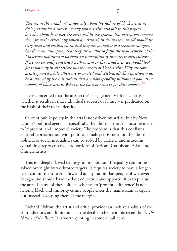*'Racism in the visual arts is not only about the failure of black artists in their pursuit for a career – many white artists also fail in this respect – but also about how they are perceived by the system. This perception removes them from the criteria by which an artwork in the modern world should be recognised and evaluated. Instead they are pushed into a separate category, based on an assumption that they are unable to fulfi l the requirements of the Modernist mainstream without an underpinning from their own cultures. If we are seriously concerned with racism in the visual arts, we should look for it not only in the failure but the success of black artists. Why are some*  artists ignored while others are promoted and celebrated? This question must *be answered by the institutions that are now spending millions of pounds in support of black artists. What is the basis or criteria for this support?'14*

He is concerned that the arts sector's engagement with black artists – whether it results in that individual's success or failure – is predicated on the basis of their racial identity.

Current public policy in the arts is not driven by artists, but by New Labour's political agenda – specifically the idea that the arts must be made to 'represent' and 'improve' society. The problem is that this conflates cultural representation with political equality: it is based on the idea that political or social inequalities can be solved by galleries and museums containing 'representative' proportions of African, Caribbean, Asian and Chinese artists.

This is a deeply flawed strategy, in my opinion. Inequality cannot be solved overnight by workforce targets. It requires society to have a longerterm commitment to equality, and an aspiration that people of whatever background should have the best education and opportunities to pursue the arts. The use of these official schemes to 'promote difference' is not helping black and minority ethnic people enter the mainstream as equals, but instead is keeping them at the margins.

Richard Hylton, the artist and critic, provides an incisive analysis of the contradictions and limitations of the decibel scheme in his recent book *The Nature of the Beast*. It is worth quoting in some detail here: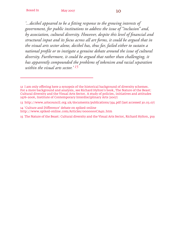*'...decibel appeared to be a fi tting response to the growing interests of government, for public institutions to address the issue of "inclusion" and,*  by association, cultural diversity. However, despite this level of financial and *structural input and its focus across all art forms, it could be argued that in the visual arts sector alone, decibel has, thus far, failed either to sustain a national profile or to instigate a genuine debate around the issue of cultural diversity. Furthermore, it could be argued that rather than challenging, it has apparently compounded the problems of tokenism and racial separation within the visual arts sector.' 15*

13 http://www.artscouncil.org.uk/documents/publications/354.pdf (last accessed 30.03.07)

14 'Culture and Difference' debate on spiked-online http://www.spiked-online.com/Articles/0000000CA421.htm

<sup>12</sup> I am only offering here a synopsis of the historical background of diversity schemes. For a more background and analysis, see Richard Hylton's book, The Nature of the Beast: Cultural diversity and the Visual Arts Sector. A study of policies, initiatives and attitudes 1976–2006, Institute of Contemporary Interdisciplinary Arts (2007)

<sup>15</sup> The Nature of the Beast: Cultural diversity and the Visual Arts Sector, Richard Hylton, p19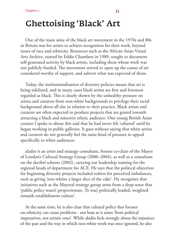# Ghettoising 'Black' Art

One of the main aims of the black art movement in the 1970s and 80s in Britain was for artists to achieve recognition for their work, beyond issues of race and ethnicity. Resources such as the African Asian Visual Arts Archive, started by Eddie Chambers in 1989, sought to document self-generated activity by black artists, including those whose work was not publicly funded. The movement strived to open up the canon of art considered worthy of support, and subvert what was expected of them.

Today, the institutionalisation of diversity policies means that art is being sidelined, and in many cases black artists are first and foremost regarded as black. This is clearly shown by the unhealthy pressure on artists and curators from non-white backgrounds to privilege their racial background above all else in relation to their practice. Black artists and curators are often expected to produce projects that are geared towards attracting a black and minority ethnic audience. One young British Asian curator I spoke to about this said that he had never felt 'othered' until he began working in public galleries. It goes without saying that white artists and curators do not generally feel the same kind of pressure to appeal specifically to white audiences.

aladin is an artist and strategy consultant, former co-chair of the Mayor of London's Cultural Strategy Group (2000–2004), as well as a consultant on the decibel scheme (2002), carrying out leadership training for the regional heads of department for ACE. He says that the political objectives for beginning diversity projects included redress for perceived imbalances, such as giving 'non-whites a larger slice of the cake'. He recognises that initiatives such as the Mayoral strategy group arose from a deep sense that 'public policy wasn't proportionate. [It was] politically loaded, weighted towards establishment culture'.

At the same time, he is also clear that cultural policy that focuses on ethnicity can cause problems - not least as it arises 'from political imperatives, not artistic ones'. While aladin feels strongly about the injustices of the past and the way in which non-white work was once ignored, he also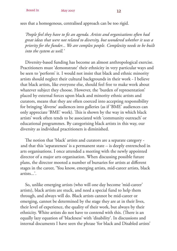sees that a homogenous, centralised approach can be too rigid.

*'People feel they have to fi t an agenda. Artists and organisations often had great ideas that were not related to diversity, but wondered whether it was a priority for the funder... We are complex people. Complexity needs to be built into the system as well.'*

Diversity-based funding has become an almost anthropological exercise. Practitioners must 'demonstrate' their ethnicity in very particular ways and be seen to 'perform' it. I would not insist that black and ethnic minority artists should neglect their cultural backgrounds in their work - I believe that black artists, like everyone else, should feel free to make work about whatever subject they choose. However, the 'burden of representation' placed by external forces upon black and minority ethnic artists and curators, means that they are often coerced into accepting responsibility for bringing 'diverse' audiences into galleries (as if 'BME' audiences can only appreciate 'BME' work). This is shown by the way in which black artists' work often tends to be associated with 'community outreach' or educational programmes. By categorising black artists in this way, our diversity as individual practitioners is diminished.

The notion that 'black' artists and curators are a separate category and that this 'separateness' is a permanent state – is deeply entrenched in arts organisations. I once attended a meeting with the newly appointed director of a major arts organisation. When discussing possible future plans, the director mooted a number of bursaries for artists at different stages in the career, 'You know, emerging artists, mid-career artists, black artists...'.

So, unlike emerging artists (who will one day become 'mid-career' artists), black artists are stuck, and need a special fund to help them through, and always will do. Black artists cannot be mid-career or emerging, cannot be determined by the stage they are at in their lives, their level of experience, the quality of their work, but always by their ethnicity. White artists do not have to contend with this. (There is an equally lazy equation of 'blackness' with 'disability'. In discussions and internal documents I have seen the phrase 'for black and Disabled artists'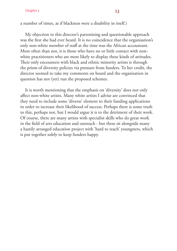#### Chapter 3  $13$

a number of times, as if blackness were a disability in itself.)

My objection to this director's patronising and questionable approach was the first she had ever heard. It is no coincidence that the organisation's only non-white member of staff at the time was the African accountant. More often than not, it is those who have no or little contact with nonwhite practitioners who are most likely to display these kinds of attitudes. Their only encounters with black and ethnic minority artists is through the prism of diversity policies via pressure from funders. To her credit, the director seemed to take my comments on board and the organisation in question has not (yet) run the proposed schemes.

It is worth mentioning that the emphasis on 'diversity' does not only affect non-white artists. Many white artists I advise are convinced that they need to include some 'diverse' element to their funding applications in order to increase their likelihood of success. Perhaps there is some truth to this, perhaps not, but I would argue it is to the detriment of their work. Of course, there are many artists with specialist skills who do great work in the field of arts education and outreach - but these sit alongside many a hastily arranged education project with 'hard to reach' youngsters, which is put together solely to keep funders happy.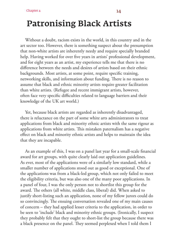## Patronising Black Artists

Without a doubt, racism exists in the world, in this country and in the art sector too. However, there is something suspect about the presumption that non-white artists are inherently needy and require specially branded help. Having worked for over five years in artists' professional development, and for eight years as an artist, my experience tells me that there is no difference between the needs and desires of artists based on their ethnic backgrounds. Most artists, at some point, require specific training, networking skills, and information about funding. There is no reason to assume that black and ethnic minority artists require greater facilitation than white artists. (Refugee and recent immigrant artists, however, often face very specific difficulties related to language barriers and their knowledge of the UK art world.)

Yet, because black artists are regarded as inherently disadvantaged, there is reluctance on the part of some white arts administrators to treat applications from black and minority ethnic artists with the same rigour as applications from white artists. This mistaken paternalism has a negative effect on black and minority ethnic artists and helps to maintain the idea that they are incapable.

As an example of this, I was on a panel last year for a small-scale financial award for art groups, with quite clearly laid out application guidelines. As ever, most of the applications were of a similarly low standard, while a smaller number of applications stood out as good or exceptional. One of the applications was from a black-led group, which not only failed to meet the eligibility criteria, but was also one of the many poor applications. In a panel of four, I was the only person not to shortlist this group for the award. The others (all white, middle class, liberal) did. When asked to justify short-listing such an application, none of my fellow jurors could do so convincingly. The ensuing conversation revealed one of my main causes of concern – they had applied lesser criteria to the application, in order to be seen to 'include' black and minority ethnic groups. (Ironically, I suspect they probably felt that they ought to short-list the group because there was a black presence on the panel. They seemed perplexed when I told them I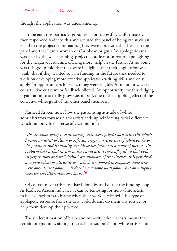thought the application was unconvincing.)

In the end, this particular group was not successful. Unfortunately, they responded badly to this and accused the panel of being racist via an email to the project coordinator. (They were not aware that I was on the panel and that I am a woman of Caribbean origin.) An apologetic email was sent by the well-meaning project coordinator in return, apologising for the negative result and offering more 'help' in the future. At no point was this group told that they were ineligible, that their application was weak, that if they wanted to gain funding in the future they needed to work on developing more effective application writing skills and only apply for opportunities for which they were eligible. At no point was real, constructive criticism or feedback offered. An opportunity for this fledging organisation to actually grow was missed, due to the crippling effect of the collective white guilt of the other panel members.

Rasheed Araeen notes how the patronising attitude of white administrators towards black artists ends up reinforcing racial difference, which can only fuel a sense of victimisation:

'The situation today is so disturbing that every failed black artist (by which *I mean an artist of Asian or African origin), irrespective of whatever he or*  she produces and its quality, sees his or her failure as a result of racism. The *problem here is that racism in the visual arts is camouflaged, so that both its perpetrators and its "victims" are unaware of its existence. It is perceived as a benevolent or altruistic act, which is supposed to empower those who were once denied power.... it does bestow some with power, but on a highly selective and discriminatory basis.'16*

Of course, most artists feel hard-done-by and out of the funding loop. As Rasheed Araeen indicates, it can be tempting for non-white artists to believe racism is to blame when their work is rejected. This type of apologetic response from the arts world doesn't do them any justice, or help them develop their practice.

The underestimation of black and minority ethnic artists means that certain programmes aiming to 'coach' or 'support' non-white artists and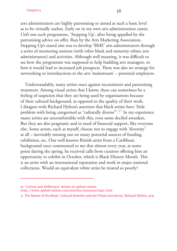#### Chapter 4 16

arts administrators are highly patronising or aimed at such a basic level as to be virtually useless. Early on in my own arts administration career, I left one such programme, 'Stepping Up', after being appalled by the patronising advice on offer. Run by the Arts Marketing Association, Stepping Up's stated aim was to develop 'BME' arts administrators through a series of mentoring sessions (with other black and minority ethnic arts administrators) and activities. Although well meaning, it was difficult to see how the programme was supposed to help budding arts managers, or how it would lead to increased job prospects. There was also no strategy for networking or introductions to the arts 'mainstream' – potential employers.

Understandably, many artists react against inconsistent and patronising treatment. Among visual artists that I know, there can sometimes be a feeling of suspicion that they are being used by organisations because of their cultural background, as opposed to the quality of their work. I disagree with Richard Hylton's assertion that black artists have 'little problem with being categorised as "culturally diverse"'.17 In my experience many artists are uncomfortable with this, even some decibel awardees. But they are also pragmatic and in need of financial support, like everyone else. Some artists, such as myself, choose not to engage with 'diversity' at all – inevitably missing out on many potential sources of funding, exhibition, etc. One well-known British artist from a Caribbean background once commented to me that almost every year, at some point during the spring, he received calls from curators offering him an opportunity to exhibit in October, which is Black History Month. This is an artist with an international reputation and work in major national collections. Would an equivalent white artist be treated so poorly?

17 The Nature of the Beast: Cultural diversity and the Visual Arts Sector, Richard Hylton, p131

<sup>16 &#</sup>x27;Culture and Difference' debate on spiked-online http://www.spiked-online.com/Articles/0000000CA421.htm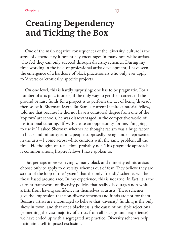### Creating Dependency and Ticking the Box

One of the main negative consequences of the 'diversity' culture is the sense of dependency it potentially encourages in many non-white artists, who feel they can only succeed through diversity schemes. During my time working in the field of professional artist development, I have seen the emergence of a hardcore of black practitioners who only ever apply to 'diverse or 'ethnically' specific projects.

On one level, this is hardly surprising: one has to be pragmatic. For a number of arts practitioners, if the only way to get their careers off the ground or raise funds for a project is to perform the act of being 'diverse', then so be it. Sherman Mern Tat Sam, a current Inspire curatorial fellow, told me that because he did not have a curatorial degree from one of the 'top two' art schools, he was disadvantaged in the competitive world of institutional curating. 'If ACE create an opportunity for me, I'm going to use it.' I asked Sherman whether he thought racism was a huge factor in black and minority ethnic people supposedly being 'under-represented' in the arts – I come across white curators with the same problem all the time. He thought, on reflection, probably not. This pragmatic approach is common among Inspire fellows I have spoken to.

But perhaps more worryingly, many black and minority ethnic artists choose only to apply to diversity schemes out of fear. They believe they are so out of the loop of the 'system' that the only 'friendly' schemes will be those based around race. In my experience, this is not true. In fact, it is the current framework of diversity policies that really discourages non-white artists from having confidence in themselves as artists. These schemes give the impression that non-diverse schemes and funds are not for them. Because artists are encouraged to believe that 'diversity' funding is the only show in town, and that one's blackness is the cause of multiple rejections (something the vast majority of artists from all backgrounds experience), we have ended up with a segregated art practice. Diversity schemes help maintain a self-imposed exclusion.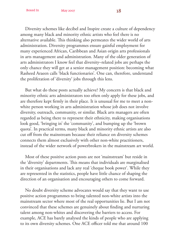Diversity schemes like decibel and Inspire create a culture of dependency among many black and minority ethnic artists who feel there is no alternative available. This thinking also permeates the wider world of arts administration. Diversity programmes ensure gainful employment for many experienced African, Caribbean and Asian origin arts professionals in arts management and administration. Many of the older generation of arts administrators I know feel that diversity–related jobs are perhaps the only chance they will get at a senior management position: becoming what Rasheed Araeen calls 'black functionaries'. One can, therefore, understand the proliferation of 'diversity' jobs through this lens.

But what do these posts actually achieve? My concern is that black and minority ethnic arts administrators too often only apply for these jobs, and are therefore kept firmly in their place. It is unusual for me to meet a nonwhite person working in arts administration whose job does not involve diversity, outreach, community, or similar. Black arts managers are often regarded as being there to represent their ethnicity, making organisations look good, 'bringing in' the 'community', and bumping up the 'brown quota'. In practical terms, many black and minority ethnic artists are also cut off from the mainstream because their reliance on diversity schemes connects them almost exclusively with other non-white practitioners, instead of the wider network of powerbrokers in the mainstream art world.

Most of these positive action posts are not 'mainstream' but reside in the 'diversity' departments. This means that individuals are marginalised in their organisations and lack any real 'cheque book power'. While they are represented in the statistics, people have little chance of shaping the direction of an organisation and encouraging others to come forward.

No doubt diversity scheme advocates would say that they want to use positive action programmes to bring talented non-white artists into the mainstream sector where most of the real opportunities lie. But I am not convinced that these schemes are genuinely about finding and nurturing talent among non-whites and discovering the barriers to access. For example, ACE has barely analysed the kinds of people who are applying to its own diversity schemes. One ACE officer told me that around 100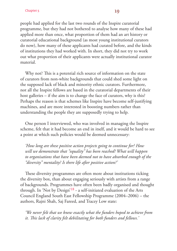people had applied for the last two rounds of the Inspire curatorial programme, but they had not bothered to analyse how many of these had applied more than once, what proportion of them had an art history or curatorial educational background (as most young institutional curators do now), how many of these applicants had curated before, and the kinds

of institutions they had worked with. In short, they did not try to work out what proportion of their applicants were actually institutional curator material.

Why not? This is a potential rich source of information on the state of curators from non-white backgrounds that could shed some light on the supposed lack of black and minority ethnic curators. Furthermore, not all the Inspire fellows are based in the curatorial departments of their host galleries – if the aim is to change the face of curators, why is this? Perhaps the reason is that schemes like Inspire have become self-justifying machines, and are more interested in boosting numbers rather than understanding the people they are supposedly trying to help.

One person I interviewed, who was involved in managing the Inspire scheme, felt that it had become an end in itself, and it would be hard to see a point at which such policies would be deemed unnecessary:

*'How long are these positive action projects going to continue for? How will we demonstrate that "equality" has been reached? What will happen to organisations that have been deemed not to have absorbed enough of the "diversity" mentality? Is there life after positive action?'* 

These diversity programmes are often more about institutions ticking the diversity box, than about engaging seriously with artists from a range of backgrounds. Programmes have often been badly organised and thought through. In 'Not by Design'18 - a self-initiated evaluation of the Arts Council England South East Fellowship Programme (2004–2006) – the authors, Rajni Shah, Saj Fareed, and Tracey Low state:

*'We never felt that we knew exactly what the funders hoped to achieve from it. This lack of clarity felt debilitating for both funders and fellows.*'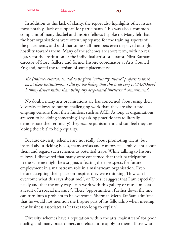In addition to this lack of clarity, the report also highlights other issues, most notably, 'lack of support' for participants. This was also a common complaint of many decibel and Inspire fellows I spoke to. Many felt that the host organisations were often unprepared for the training aspects of the placements, and said that some staff members even displayed outright hostility towards them. Many of the schemes are short term, with no real legacy for the institution or the individual artist or curator. Niru Ratnam, director of Store Gallery and former Inspire coordinator at Arts Council England, noted the tokenism of some placements:

*'the (trainee) curators tended to be given "culturally diverse" projects to work on at their institutions... I did get the feeling that this is all very DCMS/David Lammy driven rather than being any deep-seated intellectual commitment'.*

No doubt, many arts organisations are less concerned about using their 'diversity fellows' to put on challenging work than they are about preempting censure from their funders, such as ACE. As long as organisations are seen to be 'doing something' (by asking practitioners to literally demonstrate their ethnicity) they escape punishment and can feel they are 'doing their bit' to help equality.

Because diversity schemes are not really about promoting talent, but instead about ticking boxes, many artists and curators feel ambivalent about them and regard such schemes as potential traps. While talking to Inspire fellows, I discovered that many were concerned that their participation in the scheme might be a stigma, affecting their prospects for future employment in a mainstream role in a mainstream organisation. Even before accepting their place on Inspire, they were thinking 'How can I overcome what this says about me?', or 'Does it suggest that I am especially needy and that the only way I can work with this gallery or museum is as a result of a special measure?'. These 'opportunities', further down the line, can turn into a problem to be overcome. Sherman Mern Tat Sam admitted that he would not mention the Inspire part of his fellowship when meeting new business associates as 'it takes too long to explain'.

Diversity schemes have a reputation within the arts 'mainstream' for poor quality, and many practitioners are reluctant to apply to them. Those who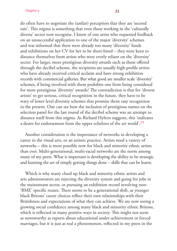#### Chapter 5 21

do often have to negotiate the (unfair) perception that they are 'second rate'. This stigma is something that even those working in the 'culturally diverse' sector now recognise. I know of one artist who requested feedback on an unsuccessful application to one of the major 'diversity' schemes and was informed that there were already too many 'diversity' funds and exhibitions on her CV for her to be short-listed – they were keen to distance themselves from artists who were overly reliant on the 'diversity' sector. For larger, more prestigious diversity awards such as those offered through the decibel scheme, the recipients are usually high-profile artists who have already received critical acclaim and have strong exhibition records with commercial galleries. But what good are smaller scale 'diversity' schemes, if being involved with them prohibits one from being considered for more prestigious 'diversity' awards? The contradiction is that for 'diverse artists' to get serious, critical recognition in the future, they have to be wary of lower level diversity schemes that promise them easy recognition in the present. One can see how the inclusion of prestigious names on the selection panel for the last round of the decibel scheme was an attempt to distance itself from this stigma. As Richard Hylton suggests, this 'indicates a desire for endorsement from the upper echelons of the art world'.19

Another consideration is the importance of networks in developing a career in the visual arts, or an artistic practice. Artists need a variety of networks – this is more possible now for black and minority ethnic artists than ever. Multi-generational, multi-racial networks are the norm among many of my peers. What is important is developing the ability to be strategic and learning the art of simply getting things done – skills that can be learnt.

Which is why many clued up black and minority ethnic artists and arts administrators are rejecting the diversity system and going for jobs in the mainstream sector, or pursuing an exhibition record involving non- 'BME' specific routes. There seems to be a generational shift, as younger black Britons' career choices reflect their own relationships with their Britishness and expectations of what they can achieve. We are now seeing a growing social confidence among many black and minority ethnic Britons, which is reflected in many positive ways in society. This might not seem as newsworthy as reports about educational under-achievement or forced marriages, but it is just as real a phenomenon, reflected in my peers in the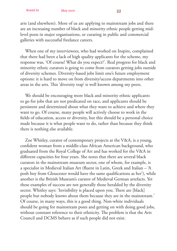arts (and elsewhere). More of us are applying to mainstream jobs and there are an increasing number of black and minority ethnic people getting midlevel posts in major organisations, or curating in public and commercial galleries with successful freelance careers.

When one of my interviewees, who had worked on Inspire, complained that there had been a lack of high quality applicants for the scheme, my response was, 'Of course! What do you expect?'. Real progress for black and minority ethnic curators is going to come from curators getting jobs outside of diversity schemes. Diversity-based jobs limit one's future employment options: it is hard to move on from diversity/access departments into other areas in the arts. This 'diversity trap' is well known among my peers.

We should be encouraging more black and minority ethnic applicants to go for jobs that are not predicated on race, and applicants should be persistent and determined about what they want to achieve and where they want to go. Of course, many people will actively choose to work in the fields of education, access or diversity, but this should be a personal choice made because it is what people want to do, rather than because they think there is nothing else available.

Zoe Whitley, curator of contemporary projects at the V&A, is a young, confident woman from a middle-class African American background, who graduated from the Royal College of Art and has worked for the V&A in different capacities for four years. She notes that there are several black curators in the mainstream museum sector, one of whom, for example, is a specialist in Medieval Italian Art (fluent in Latin, Greek and Italian - 'A posh boy from Gloucester would have the same qualifications as her'), while another is the British Museum's curator of Medieval German artefacts. Yet these examples of success are not generally those heralded by the diversity sector. Whitley says: 'Invisibility is placed upon you. There are [black] people but nobody knows about them because they are in the mainstream.' Of course, in many ways, this is a good thing. Non-white individuals should be going for mainstream posts and getting on with doing good jobs, without constant reference to their ethnicity. The problem is that the Arts Council and DCMS behave as if such people did not exist.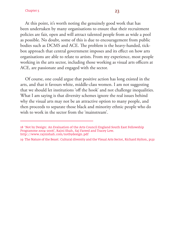#### Chapter 5  $23$

At this point, it's worth noting the genuinely good work that has been undertaken by many organisations to ensure that their recruitment policies are fair, open and will attract talented people from as wide a pool as possible. No doubt, some of this is due to encouragement from public bodies such as DCMS and ACE. The problem is the heavy-handed, tickbox approach that central government imposes and its effect on how arts organisations are able to relate to artists. From my experience, most people working in the arts sector, including those working as visual arts officers at ACE, are passionate and engaged with the sector.

Of course, one could argue that positive action has long existed in the arts, and that it favours white, middle-class women. I am not suggesting that we should let institutions 'off the hook' and not challenge inequalities. What I am saying is that diversity schemes ignore the real issues behind why the visual arts may not be an attractive option to many people, and then proceeds to separate those black and minority ethnic people who do wish to work in the sector from the 'mainstream'.

<sup>18 &#</sup>x27;Not by Design: An Evaluation of the Arts Council England South East Fellowship Programme 2004–2006', Rajni Shah, Saj Fareed and Tracey Low. http://www.rajnishah.com/notbydesign.pdf

<sup>19</sup> The Nature of the Beast: Cultural diversity and the Visual Arts Sector, Richard Hylton, p132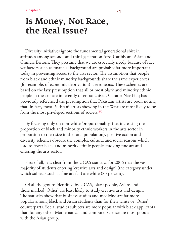### Is Money, Not Race, the Real Issue?

Diversity initiatives ignore the fundamental generational shift in attitudes among second- and third-generation Afro-Caribbean, Asian and Chinese Britons. They presume that we are especially needy because of race, yet factors such as financial background are probably far more important today in preventing access to the arts sector. The assumption that people from black and ethnic minority backgrounds share the same experiences (for example, of economic deprivation) is erroneous. These schemes are based on the lazy presumption that all or most black and minority ethnic people in the arts are inherently disenfranchised. Curator Nav Haq has previously referenced the presumption that Pakistani artists are poor, noting that, in fact, most Pakistani artists showing in the West are most likely to be from the most privileged sections of society.20

By focusing only on non-white 'proportionality' (i.e. increasing the proportion of black and minority ethnic workers in the arts sector in proportion to their size in the total population), positive action and diversity schemes obscure the complex cultural and social reasons which lead to fewer black and minority ethnic people studying fine art and entering the arts sector.

First of all, it is clear from the UCAS statistics for 2006 that the vast majority of students entering 'creative arts and design' (the category under which subjects such as fine art fall) are white (83 percent).

Of all the groups identified by UCAS, black people, Asians and those marked 'Other' are least likely to study creative arts and design. The statistics show that business studies and medicine are far more popular among black and Asian students than for their white or 'Other' counterparts. Social studies subjects are more popular with black applicants than for any other. Mathematical and computer science are most popular with the Asian group.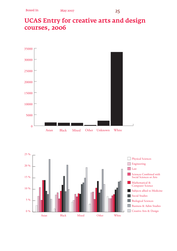### UCAS Entry for creative arts and design courses, 2006



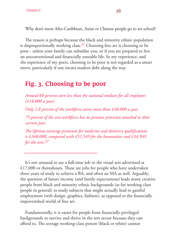Why don't more Afro-Caribbean, Asian or Chinese people go to art school?

The reason is perhaps because the black and minority ethnic population is disproportionally working class.<sup>21</sup> Choosing fine art is choosing to be poor - unless your family can subsidise you, or if you are prepared to live an unconventional and financially unstable life. In my experience, and the experience of my peers, choosing to be poor is not regarded as a smart move, particularly if one incurs student debt along the way.

### Fig. 3. Choosing to be poor

*Around 60 percent earn less than the national median for all employees (£18,000 a year).*

*Only 2.8 percent of the workforce earns more than £40,000 a year.*

*75 percent of the arts workforce has no pension provision attached to their current post.*

*The lifetime earnings premium for medicine and dentistry qualifications is £340,000, compared with £51,549 for the humanities and £34,949 for the arts.22*

It's not unusual to see a full-time job in the visual arts advertised at  $£17,000$  or thereabouts. These are jobs for people who have undertaken three years of study to achieve a BA, and often an MA as well. Arguably, the question of future income (and family expectations) leads many creative people from black and minority ethnic backgrounds (as for working class people in general) to study subjects that might actually lead to gainful employment (web design, graphics, fashion), as opposed to the financially impoverished world of fine art.

Fundamentally, it is easier for people from financially privileged backgrounds to survive and thrive in the arts sector because they can afford to. The average working-class person (black or white) cannot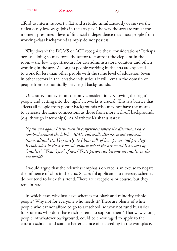afford to intern, support a flat and a studio simultaneously or survive the ridiculously low-wage jobs in the arts pay. The way the arts are run at the moment presumes a level of financial independence that most people from working-class backgrounds simply do not possess.

Why doesn't the DCMS or ACE recognise these considerations? Perhaps because doing so may force the sector to confront the elephant in the room – the low wage structure for arts administrators, curators and others working in the arts. As long as people working in the arts are expected to work for less than other people with the same level of education (even in other sectors in the 'creative industries') it will remain the domain of people from economically privileged backgrounds.

Of course, money is not the only consideration. Knowing the 'right' people and getting into the 'right' networks is crucial. This is a barrier that affects all people from poorer backgrounds who may not have the means to generate the same connections as those from more well-off backgrounds (e.g. through internships). As Matthew Krishanu states:

*'Again and again I have been in conferences where the discussions have revolved around the labels - BME, culturally diverse, multi-cultural, trans-cultural etc. Very rarely do I hear talk of how power and privilege is embedded in the art world. How much of the art world is a world of "insiders"? What "type" of non-White person can become an insider in the art world?'*

I would argue that the relentless emphasis on race is an excuse to negate the influence of class in the arts. Successful applicants to diversity schemes do not tend to buck this trend. There are exceptions or course, but they remain rare.

In which case, why just have schemes for black and minority ethnic people? Why not for everyone who needs it? There are plenty of white people who cannot afford to go to art school, so why not fund bursaries for students who don't have rich parents to support them? That way, young people, of whatever background, could be encouraged to apply to the elite art schools and stand a better chance of succeeding in the workplace.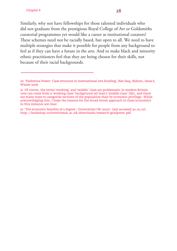Similarly, why not have fellowships for those talented individuals who did not graduate from the prestigious Royal College of Art or Goldsmiths curatorial programmes yet would like a career as institutional curators? These schemes need not be racially based, but open to all. We need to have multiple strategies that make it possible for people from any background to feel as if they can have a future in the arts. And to make black and minority ethnic practitioners feel that they are being chosen for their skills, not because of their racial backgrounds.

<sup>20 &#</sup>x27;Pashmina Power: Class structure in international arts funding', Nav Haq, Bidoun, Issue 6, Winter 2006

<sup>21</sup> Of course, the terms 'working' and 'middle' class are problematic in modern Britain (one can come from a 'working class' background yet lead a 'middle class' life), and there are many ways to categorise sections of the population than by economic privilege. While acknowledging this, I hope the reasons for the broad-brush approach to class/economics in this instance are clear.

<sup>22 &#</sup>x27;The economic benefits of a degree', Universities UK (2007) (last accessed 30.03.07) http://bookshop.universitiesuk.ac.uk/downloads/research-gradprem.pdf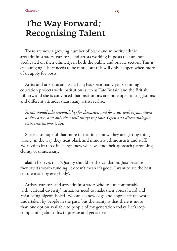### The Way Forward: Recognising Talent

There are now a growing number of black and minority ethnic arts administrators, curators, and artists working in posts that are not predicated on their ethnicity, in both the public and private sectors. This is encouraging. There needs to be more, but this will only happen when more of us apply for posts.

Artist and arts educator Sara Haq has spent many years running education projects with institutions such as Tate Britain and the British Library, and she is convinced that institutions are more open to suggestions and different attitudes than many artists realise.

*'Artists should take responsibility for themselves and for issues with organisations as they arise, and only then will things improve. Open and direct dialogue with institutions is key.'*

She is also hopeful that more institutions know 'they are getting things wrong' in the way they treat black and minority ethnic artists and staff. We need to let those in charge know when we find their approach patronising, clumsy or unnecessary.

aladin believes that 'Quality should be the validation. Just because they say it's worth funding, it doesn't mean it's good. I want to see the best culture made by everybody'.

Artists, curators and arts administrators who feel uncomfortable with 'cultural diversity' initiatives need to make their voices heard and resist being pigeon-holed. We can acknowledge and appreciate the work undertaken by people in the past, but the reality is that there is more than one option available to people of my generation today. Let's stop complaining about this in private and get active.